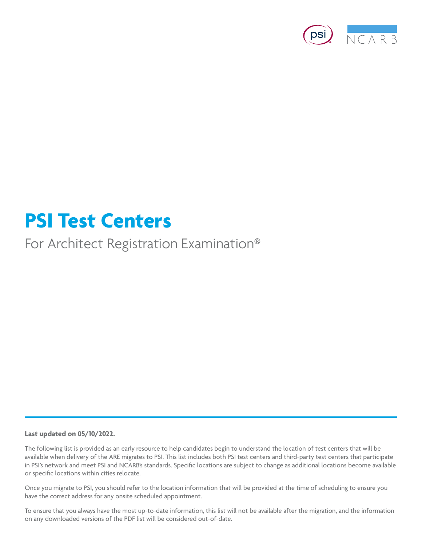

# **PSI Test Centers**

For Architect Registration Examination®

# **Last updated on 05/10/2022.**

The following list is provided as an early resource to help candidates begin to understand the location of test centers that will be available when delivery of the ARE migrates to PSI. This list includes both PSI test centers and third-party test centers that participate in PSI's network and meet PSI and NCARB's standards. Specific locations are subject to change as additional locations become available or specific locations within cities relocate.

Once you migrate to PSI, you should refer to the location information that will be provided at the time of scheduling to ensure you have the correct address for any onsite scheduled appointment.

To ensure that you always have the most up-to-date information, this list will not be available after the migration, and the information on any downloaded versions of the PDF list will be considered out-of-date.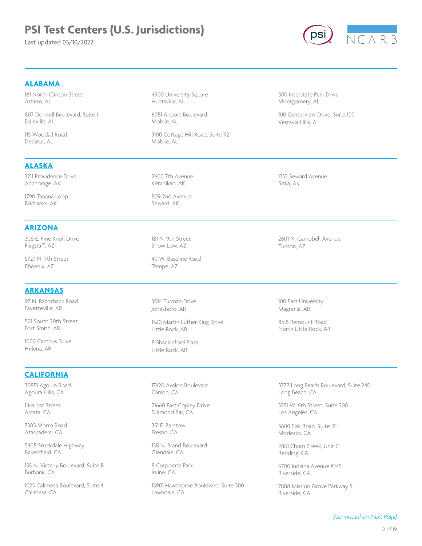Last updated 05/10/2022.



# **ALABAMA**

161 North Clinton Street Athens, AL

807 Donnell Boulevard, Suite J Daleville, AL

115 Woodall Road Decatur, AL

**ALASKA**

# 4900 University Square Huntsville, AL

6051 Airport Boulevard Mobile, AL

3100 Cottage Hill Road, Suite 112 Mobile, AL

500 Interstate Park Drive Montgomery, AL

100 Centerview Drive, Suite 100 Vestavia Hills, AL

1332 Seward Avenue Sitka, AK

1790 Tanana Loop Fairbanks, AK

3211 Providence Drive Anchorage, AK

### **ARIZONA**

306 E. Pine Knoll Drive Flagstaff, AZ

5727 N. 7th Street Phoenix, AZ

#### **ARKANSAS**

97 N. Razorback Road Fayetteville, AR

501 South 20th Street Fort Smith, AR

1000 Campus Drive Helena, AR

# **CALIFORNIA**

30851 Agoura Road Agoura Hills, CA

1 Harpst Street Arcata, CA

7305 Morro Road Atascadero, CA

5405 Stockdale Highway Bakersfield, CA

135 N. Victory Boulevard, Suite B Burbank, CA

1025 Calimesa Boulevard, Suite 4 Calimesa, CA

2600 7th Avenue Ketchikan, AK

809 2nd Avenue Seward, AK

181 N. 9th Street Show Low, AZ

40 W. Baseline Road Tempe, AZ

3014 Turman Drive Jonesboro, AR

1520 Martin Luther King Drive Little Rock, AR

8 Shackleford Plaza Little Rock, AR

17420 Avalon Boulevard Carson, CA

21660 East Copley Drive Diamond Bar, CA

351 E. Barstow Fresno, CA

138 N. Brand Boulevard Glendale, CA

8 Corporate Park Irvine, CA

15901 Hawthorne Boulevard, Suite 300 Lawndale, CA

2601 N. Campbell Avenue Tucson, AZ

100 East University Magnolia, AR

8318 Remount Road North Little Rock, AR

3777 Long Beach Boulevard, Suite 240 Long Beach, CA

3251 W. 6th Street, Suite 200 Los Angeles, CA

3600 Sisk Road, Suite 2F Modesto, CA

2861 Churn Creek, Unit C Redding, CA

6700 Indiana Avenue #245 Riverside, CA

7888 Mission Grove Parkway S. Riverside, CA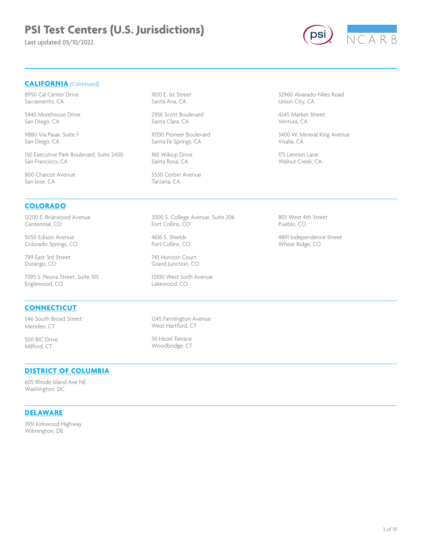Last updated 05/10/2022.



### **CALIFORNIA** *(Continued)*

8950 Cal Center Drive Sacramento, CA

5440 Morehouse Drive San Diego, CA

9880 Via Pasar, Suite F San Diego, CA

150 Executive Park Boulevard, Suite 2400 San Francisco, CA

800 Charcot Avenue San Jose, CA

#### **COLORADO**

12200 E. Briarwood Avenue Centennial, CO

5050 Edison Avenue Colorado Springs, CO

799 East 3rd Street Durango, CO

7395 S. Peoria Street, Suite 105 Englewood, CO

### **CONNECTICUT**

546 South Broad Street Meriden, CT

500 BIC Drive Milford, CT

1820 E. 1st Street Santa Ana, CA

2936 Scott Boulevard Santa Clara, CA

10330 Pioneer Boulevard Santa Fe Springs, CA

160 Wikiup Drive Santa Rosa, CA

5530 Corbin Avenue Tarzana, CA

3000 S. College Avenue, Suite 206 Fort Collins, CO

4616 S. Shields Fort Collins, CO

743 Horizon Court Grand Junction, CO

13300 West Sixth Avenue Lakewood, CO

1245 Farmington Avenue West Hartford, CT

30 Hazel Terrace Woodbridge, CT

#### **DISTRICT OF COLUMBIA**

605 Rhode Island Ave NE Washington, DC

#### **DELAWARE**

3931 Kirkwood Highway Wilmington, DE

32960 Alvarado-Niles Road Union City, CA

4245 Market Street Ventura, CA

3400 W. Mineral King Avenue Visalia, CA

175 Lennon Lane Walnut Creek, CA

803 West 4th Street Pueblo, CO

4891 Independence Street Wheat Ridge, CO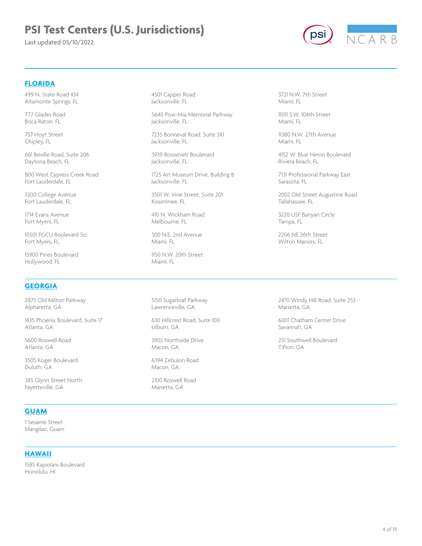Last updated 05/10/2022.



### **FLORIDA**

499 N. State Road 434 Altamonte Springs, FL

777 Glades Road Boca Raton, FL

757 Hoyt Street Chipley, FL

661 Beville Road, Suite 206 Daytona Beach, FL

800 West Cypress Creek Road Fort Lauderdale, FL

3200 College Avenue Fort Lauderdale, FL

1714 Evans Avenue Fort Myers, FL

10501 FGCU Boulevard So. Fort Myers, FL

15900 Pines Boulevard Hollywood, FL

### **GEORGIA**

2875 Old Milton Parkway Alpharetta, GA

1635 Phoenix Boulevard, Suite 17 Atlanta, GA

5600 Roswell Road Atlanta, GA

3505 Koger Boulevard Duluth, GA

385 Glynn Street North Fayetteville, GA

### **GUAM**

1 Sesame Street Mangilao, Guam

#### **HAWAII**

1585 Kapiolani Boulevard Honolulu, HI

4501 Capper Road Jacksonville, FL

5640 Pow-Mia Memorial Parkway Jacksonville, FL

7235 Bonneval Road, Suite 310 Jacksonville, FL

3939 Roosevelt Boulevard Jacksonville, FL

1725 Art Museum Drive, Building B Jacksonville, FL

3501 W. Vine Street, Suite 201 Kissimmee, FL

410 N. Wickham Road Melbourne, FL

300 N.E. 2nd Avenue Miami, FL

950 N.W. 20th Street Miami, FL

5150 Sugarloaf Parkway Lawrenceville, GA

630 Hillcrest Road, Suite 100 Lilburn, GA

3902 Northside Drive Macon, GA

6394 Zebulon Road Macon, GA

2100 Roswell Road Marietta, GA

3721 N.W. 7th Street Miami, FL

11011 S.W. 104th Street Miami, FL

11380 N.W. 27th Avenue Miami, FL

4152 W. Blue Heron Boulevard Riviera Beach, FL

7131 Professional Parkway East Sarasota, FL

2002 Old Street Augustine Road Tallahassee, FL

3220 USF Banyan Circle Tampa, FL

2206 NE 26th Street Wilton Manors, FL

2470 Windy Hill Road, Suite 253 Marietta, GA

6001 Chatham Center Drive Savannah, GA

251 Southwell Boulevard Tifton, GA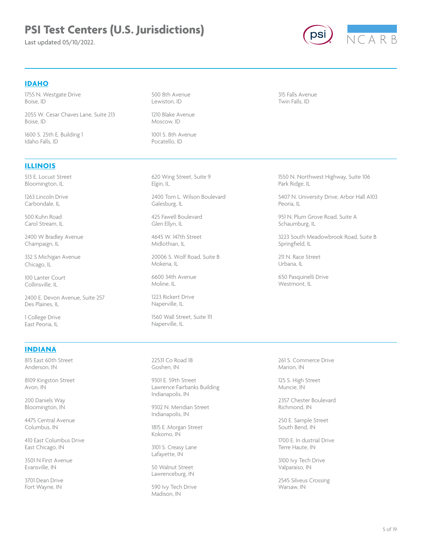Last updated 05/10/2022.



### **IDAHO**

1755 N. Westgate Drive Boise, ID

2055 W. Cesar Chaves Lane, Suite 213 Boise, ID

1600 S. 25th E. Building 1 Idaho Falls, ID

# 1210 Blake Avenue Moscow, ID

1001 S. 8th Avenue Pocatello, ID

500 8th Avenue Lewiston, ID

315 Falls Avenue Twin Falls, ID

# **ILLINOIS**

513 E. Locust Street Bloomington, IL

1263 Lincoln Drive Carbondale, IL

500 Kuhn Road Carol Stream, IL

2400 W Bradley Avenue Champaign, IL

332 S Michigan Avenue Chicago, IL

100 Lanter Court Collinsville, IL

2400 E. Devon Avenue, Suite 257 Des Plaines, IL

1 College Drive East Peoria, IL

### **INDIANA**

815 East 60th Street Anderson, IN

8109 Kingston Street Avon, IN

200 Daniels Way Bloomington, IN

4475 Central Avenue Columbus, IN

410 East Columbus Drive East Chicago, IN

3501 N First Avenue Evansville, IN

3701 Dean Drive Fort Wayne, IN

620 Wing Street, Suite 9 Elgin, IL

2400 Tom L. Wilson Boulevard Galesburg, IL

425 Fawell Boulevard Glen Ellyn, IL

4645 W. 147th Street Midlothian, IL

20006 S. Wolf Road, Suite B Mokena, IL

6600 34th Avenue Moline, IL

1223 Rickert Drive Naperville, IL

1560 Wall Street, Suite 111 Naperville, IL

22531 Co Road 18 Goshen, IN

9301 E. 59th Street Lawrence Fairbanks Building Indianapolis, IN

9302 N. Meridian Street Indianapolis, IN

1815 E .Morgan Street Kokomo, IN

3101 S. Creasy Lane Lafayette, IN

50 Walnut Street Lawrenceburg, IN

590 Ivy Tech Drive Madison, IN

1550 N. Northwest Highway, Suite 106 Park Ridge, IL

5407 N. University Drive, Arbor Hall A103 Peoria, IL

951 N. Plum Grove Road, Suite A Schaumburg, IL

3223 South Meadowbrook Road, Suite B Springfield, IL

211 N. Race Street Urbana, IL

650 Pasquinelli Drive Westmont, IL

261 S. Commerce Drive Marion, IN

125 S. High Street Muncie, IN

2357 Chester Boulevard Richmond, IN

250 E. Sample Street South Bend, IN

1700 E. In dustrial Drive Terre Haute, IN

3100 Ivy Tech Drive Valparaiso, IN

2545 Silveus Crossing Warsaw, IN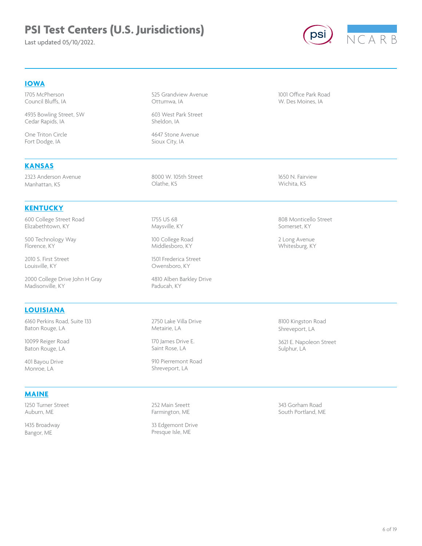Last updated 05/10/2022.



### **IOWA**

1705 McPherson Council Bluffs, IA

4935 Bowling Street, SW Cedar Rapids, IA

2323 Anderson Avenue Manhattan, KS

600 College Street Road Elizabethtown, KY

**KENTUCKY**

500 Technology Way Florence, KY

2000 College Drive John H Gray

6160 Perkins Road, Suite 133

2010 S. First Street Louisville, KY

Madisonville, KY

Baton Rouge, LA 10099 Reiger Road Baton Rouge, LA 401 Bayou Drive Monroe, LA

**MAINE**

1250 Turner Street Auburn, ME 1435 Broadway Bangor, ME

**LOUISIANA**

One Triton Circle Fort Dodge, IA

**KANSAS**

#### 525 Grandview Avenue Ottumwa, IA

603 West Park Street Sheldon, IA

4647 Stone Avenue Sioux City, IA

8000 W. 105th Street Olathe, KS

1755 US 68 Maysville, KY

100 College Road Middlesboro, KY

1501 Frederica Street Owensboro, KY

4810 Alben Barkley Drive Paducah, KY

2750 Lake Villa Drive Metairie, LA

170 James Drive E. Saint Rose, LA

910 Pierremont Road Shreveport, LA

252 Main Sreett Farmington, ME

33 Edgemont Drive Presque Isle, ME

1001 Office Park Road W. Des Moines, IA

1650 N. Fairview Wichita, KS

808 Monticello Street Somerset, KY

2 Long Avenue Whitesburg, KY

8100 Kingston Road Shreveport, LA

3621 E. Napoleon Street Sulphur, LA

343 Gorham Road South Portland, ME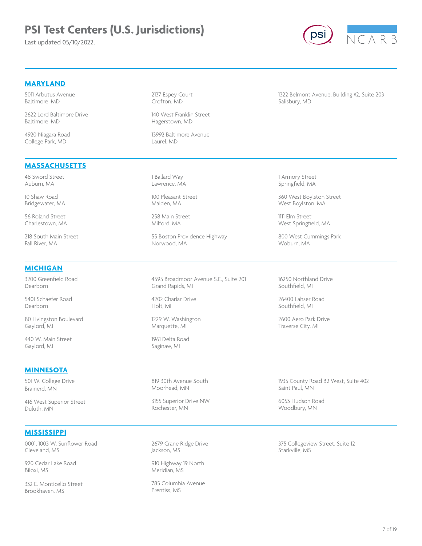Last updated 05/10/2022.



# **MARYLAND**

5011 Arbutus Avenue Baltimore, MD

2622 Lord Baltimore Drive Baltimore, MD

4920 Niagara Road College Park, MD

2137 Espey Court Crofton, MD

140 West Franklin Street Hagerstown, MD

13992 Baltimore Avenue Laurel, MD

1322 Belmont Avenue, Building #2, Suite 203 Salisbury, MD

# **MASSACHUSETTS**

48 Sword Street Auburn, MA

10 Shaw Road Bridgewater, MA

56 Roland Street Charlestown, MA

218 South Main Street Fall River, MA

# **MICHIGAN**

3200 Greenfield Road Dearborn

5401 Schaefer Road Dearborn

80 Livingston Boulevard Gaylord, MI

440 W. Main Street Gaylord, MI

#### **MINNESOTA**

501 W. College Drive Brainerd, MN

416 West Superior Street Duluth, MN

### **MISSISSIPPI**

0001, 1003 W. Sunflower Road Cleveland, MS

920 Cedar Lake Road Biloxi, MS

332 E. Monticello Street Brookhaven, MS

1 Ballard Way Lawrence, MA

100 Pleasant Street Malden, MA

258 Main Street Milford, MA

55 Boston Providence Highway Norwood, MA

4595 Broadmoor Avenue S.E., Suite 201 Grand Rapids, MI

4202 Charlar Drive Holt, MI

1229 W. Washington Marquette, MI

1961 Delta Road Saginaw, MI

819 30th Avenue South Moorhead, MN

3155 Superior Drive NW Rochester, MN

2679 Crane Ridge Drive Jackson, MS

910 Highway 19 North Meridian, MS

785 Columbia Avenue Prentiss, MS

1 Armory Street Springfield, MA

360 West Boylston Street West Boylston, MA

1111 Elm Street West Springfield, MA

800 West Cummings Park Woburn, MA

16250 Northland Drive Southfield, MI

26400 Lahser Road Southfield, MI

2600 Aero Park Drive Traverse City, MI

1935 County Road B2 West, Suite 402 Saint Paul, MN

6053 Hudson Road Woodbury, MN

375 Collegeview Street, Suite 12 Starkville, MS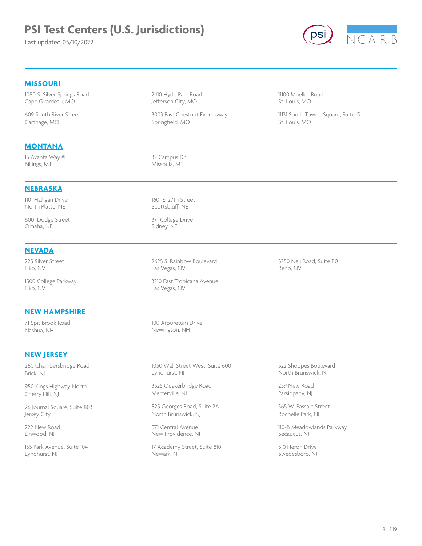Last updated 05/10/2022.



### **MISSOURI**

1080 S. Silver Springs Road Cape Girardeau, MO

609 South River Street Carthage, MO

#### **MONTANA**

15 Avanta Way #1 Billings, MT

2410 Hyde Park Road Jefferson City, MO

3003 East Chestnut Expressway Springfield, MO

11100 Mueller Road St. Louis, MO

11131 South Towne Square, Suite G St. Louis, MO

32 Campus Dr Missoula, MT

1601 E. 27th Street Scottsbluff, NE

371 College Drive Sidney, NE

#### **NEBRASKA**

1101 Halligan Drive North Platte, NE

6001 Dodge Street Omaha, NE

#### **NEVADA**

225 Silver Street Elko, NV

1500 College Parkway Elko, NV

#### **NEW HAMPSHIRE**

71 Spit Brook Road Nashua, NH

#### **NEW JERSEY**

260 Chambersbridge Road Brick, NJ

950 Kings Highway North Cherry Hill, NJ

26 Journal Square, Suite 803 Jersey City

222 New Road Linwood, NJ

155 Park Avenue, Suite 104 Lyndhurst, NJ

2625 S. Rainbow Boulevard Las Vegas, NV

3210 East Tropicana Avenue Las Vegas, NV

100 Arboretum Drive Newington, NH

1050 Wall Street West, Suite 600 Lyndhurst, NJ

3525 Quakerbridge Road Mercerville, NJ

825 Georges Road, Suite 2A North Brunswick, NJ

571 Central Avenue New Providence, NJ

17 Academy Street, Suite 810 Newark, NJ

5250 Neil Road, Suite 110 Reno, NV

522 Shoppes Boulevard North Brunswick, NJ

239 New Road Parsippany, NJ

365 W. Passaic Street Rochelle Park, NJ

110-B Meadowlands Parkway Secaucus, NJ

510 Heron Drive Swedesboro, NJ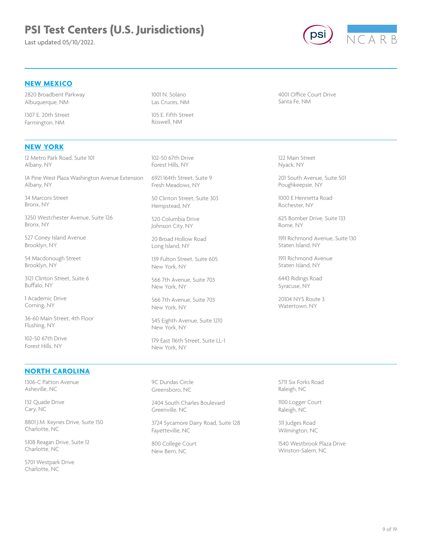Last updated 05/10/2022.



### **NEW MEXICO**

2820 Broadbent Parkway Albuquerque, NM

1307 E. 20th Street Farmington, NM

### **NEW YORK**

12 Metro Park Road, Suite 101 Albany, NY

1A Pine West Plaza Washington Avenue Extension Albany, NY

34 Marconi Street Bronx, NY

3250 Westchester Avenue, Suite 126 Bronx, NY

527 Coney Island Avenue Brooklyn, NY

54 Macdonough Street Brooklyn, NY

3121 Clinton Street, Suite 6 Buffalo, NY

1 Academic Drive Corning, NY

36-60 Main Street, 4th Floor Flushing, NY

102-50 67th Drive Forest Hills, NY

#### **NORTH CAROLINA**

1306-C Patton Avenue Asheville, NC

132 Quade Drive Cary, NC

8801 J.M. Keynes Drive, Suite 150 Charlotte, NC

5108 Reagan Drive, Suite 12 Charlotte, NC

5701 Westpark Drive Charlotte, NC

1001 N. Solano Las Cruces, NM

105 E. Fifth Street Roswell, NM

102-50 67th Drive Forest Hills, NY

6921 164th Street, Suite 9 Fresh Meadows, NY

50 Clinton Street, Suite 303 Hempstead, NY

520 Columbia Drive Johnson City, NY

20 Broad Hollow Road Long Island, NY

139 Fulton Street, Suite 605 New York, NY

566 7th Avenue, Suite 703 New York, NY

566 7th Avenue, Suite 703 New York, NY

545 Eighth Avenue, Suite 1210 New York, NY

179 East 116th Street, Suite LL-1 New York, NY

9C Dundas Circle Greensboro, NC

2404 South Charles Boulevard Greenville, NC

3724 Sycamore Dairy Road, Suite 128 Fayetteville, NC

800 College Court New Bern, NC

4001 Office Court Drive Santa Fe, NM

122 Main Street Nyack, NY

201 South Avenue, Suite 501 Poughkeepsie, NY

1000 E Henrietta Road Rochester, NY

625 Bomber Drive, Suite 133 Rome, NY

1911 Richmond Avenue, Suite 130 Staten Island, NY

1911 Richmond Avenue Staten Island, NY

6443 Ridings Road Syracuse, NY

20104 NYS Route 3 Watertown, NY

5711 Six Forks Road Raleigh, NC

1100 Logger Court Raleigh, NC

311 Judges Road Wilmington, NC

1540 Westbrook Plaza Drive Winston-Salem, NC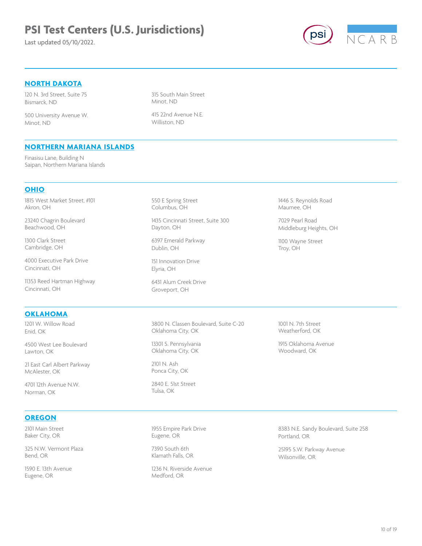Last updated 05/10/2022.



# **NORTH DAKOTA**

120 N. 3rd Street, Suite 75 Bismarck, ND

500 University Avenue W. Minot, ND

315 South Main Street Minot, ND

415 22nd Avenue N.E. Williston, ND

### **NORTHERN MARIANA ISLANDS**

Finasisu Lane, Building N Saipan, Northern Mariana Islands

### **OHIO**

1815 West Market Street, #101 Akron, OH

23240 Chagrin Boulevard Beachwood, OH

1300 Clark Street Cambridge, OH

4000 Executive Park Drive Cincinnati, OH

11353 Reed Hartman Highway Cincinnati, OH

#### **OKLAHOMA**

1201 W. Willow Road Enid, OK

4500 West Lee Boulevard Lawton, OK

21 East Carl Albert Parkway McAlester, OK

4701 12th Avenue N.W. Norman, OK

### **OREGON**

2101 Main Street Baker City, OR

325 N.W. Vermont Plaza Bend, OR

1590 E. 13th Avenue Eugene, OR

550 E Spring Street Columbus, OH

1435 Cincinnati Street, Suite 300 Dayton, OH

6397 Emerald Parkway Dublin, OH

151 Innovation Drive Elyria, OH

6431 Alum Creek Drive Groveport, OH

3800 N. Classen Boulevard, Suite C-20 Oklahoma City, OK

13301 S. Pennsylvania Oklahoma City, OK

2101 N. Ash Ponca City, OK

2840 E. 51st Street Tulsa, OK

1955 Empire Park Drive Eugene, OR

7390 South 6th Klamath Falls, OR

1236 N. Riverside Avenue Medford, OR

1446 S. Reynolds Road Maumee, OH

7029 Pearl Road Middleburg Heights, OH

1100 Wayne Street Troy, OH

1001 N. 7th Street Weatherford, OK

1915 Oklahoma Avenue Woodward, OK

8383 N.E. Sandy Boulevard, Suite 258 Portland, OR

25195 S.W. Parkway Avenue Wilsonville, OR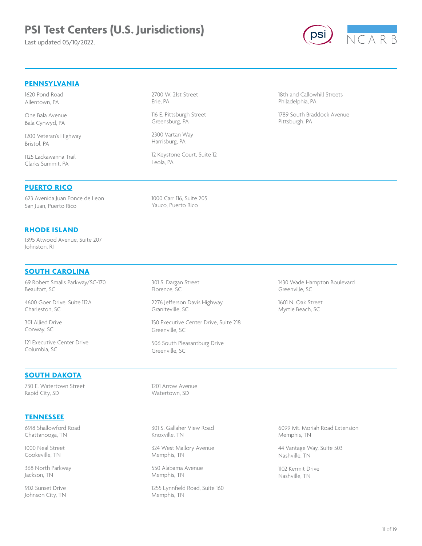Last updated 05/10/2022.



# **PENNSYLVANIA**

1620 Pond Road Allentown, PA

One Bala Avenue Bala Cynwyd, PA

1200 Veteran's Highway Bristol, PA

1125 Lackawanna Trail Clarks Summit, PA

#### **PUERTO RICO**

623 Avenida Juan Ponce de Leon San Juan, Puerto Rico

#### **RHODE ISLAND**

1395 Atwood Avenue, Suite 207 Johnston, RI

#### **SOUTH CAROLINA**

69 Robert Smalls Parkway/SC-170 Beaufort, SC

4600 Goer Drive, Suite 112A Charleston, SC

301 Allied Drive Conway, SC

121 Executive Center Drive Columbia, SC

#### **SOUTH DAKOTA**

730 E. Watertown Street Rapid City, SD

301 S. Dargan Street Florence, SC

1000 Carr 116, Suite 205 Yauco, Puerto Rico

12 Keystone Court, Suite 12

2700 W. 21st Street

116 E. Pittsburgh Street Greensburg, PA 2300 Vartan Way Harrisburg, PA

Erie, PA

Leola, PA

2276 Jefferson Davis Highway Graniteville, SC

150 Executive Center Drive, Suite 218 Greenville, SC

506 South Pleasantburg Drive Greenville, SC

1201 Arrow Avenue Watertown, SD

301 S. Gallaher View Road Knoxville, TN

324 West Mallory Avenue Memphis, TN

550 Alabama Avenue Memphis, TN

1255 Lynnfield Road, Suite 160 Memphis, TN

18th and Callowhill Streets Philadelphia, PA

1789 South Braddock Avenue Pittsburgh, PA

1430 Wade Hampton Boulevard Greenville, SC

1601 N. Oak Street Myrtle Beach, SC

6099 Mt. Moriah Road Extension Memphis, TN

44 Vantage Way, Suite 503 Nashville, TN

1102 Kermit Drive Nashville, TN

### **TENNESSEE**

6918 Shallowford Road Chattanooga, TN

1000 Neal Street Cookeville, TN

368 North Parkway Jackson, TN

902 Sunset Drive Johnson City, TN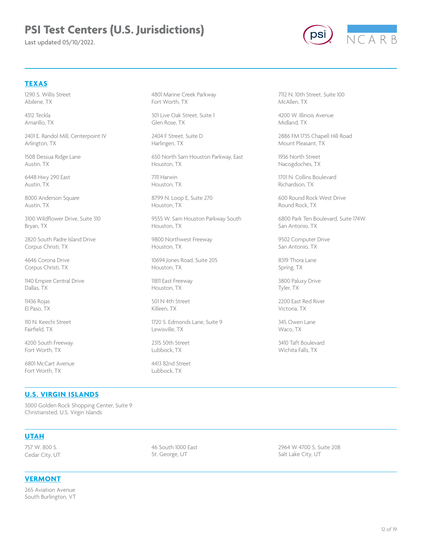Last updated 05/10/2022.



# **TEXAS**

1290 S. Willis Street Abilene, TX

4312 Teckla Amarillo, TX

2401 E. Randol Mill, Centerpoint IV Arlington, TX

1508 Dessua Ridge Lane Austin, TX

6448 Hwy 290 East Austin, TX

8000 Anderson Square Austin, TX

3100 Wildflower Drive, Suite 310 Bryan, TX

2820 South Padre Island Drive Corpus Christi, TX

4646 Corona Drive Corpus Christi, TX

1140 Empire Central Drive Dallas, TX

11436 Rojas El Paso, TX

110 N. Keechi Street Fairfield, TX

4200 South Freeway Fort Worth, TX

6801 McCart Avenue Fort Worth, TX

4801 Marine Creek Parkway Fort Worth, TX

301 Live Oak Street, Suite 1 Glen Rose, TX

2404 F Street, Suite D Harlingen, TX

650 North Sam Houston Parkway, East Houston, TX

7111 Harwin Houston, TX

8799 N. Loop E, Suite 270 Houston, TX

9555 W. Sam Houston Parkway South Houston, TX

9800 Northwest Freeway Houston, TX

10694 Jones Road, Suite 205 Houston, TX

11811 East Freeway Houston, TX

501 N 4th Street Killeen, TX

1720 S. Edmonds Lane, Suite 9 Lewisville, TX

2315 50th Street Lubbock, TX

4413 82nd Street Lubbock, TX

7112 N. 10th Street, Suite 100 McAllen, TX

4200 W. Illinois Avenue Midland, TX

2886 FM 1735 Chapell Hill Road Mount Pleasant, TX

1936 North Street Nacogdoches, TX

1701 N. Collins Boulevard Richardson, TX

600 Round Rock West Drive Round Rock, TX

6800 Park Ten Boulevard, Suite 174W San Antonio, TX

9502 Computer Drive San Antonio, TX

8319 Thora Lane Spring, TX

3800 Paluxy Drive Tyler, TX

2200 East Red River Victoria, TX

345 Owen Lane Waco, TX

3410 Taft Boulevard Wichita Falls, TX

#### **U.S. VIRGIN ISLANDS**

3000 Golden Rock Shopping Center, Suite 9 Christiansted, U.S. Virgin Islands

#### **UTAH**

757 W. 800 S. Cedar City, UT

**VERMONT**

265 Aviation Avenue South Burlington, VT 46 South 1000 East St. George, UT

2964 W 4700 S, Suite 208 Salt Lake City, UT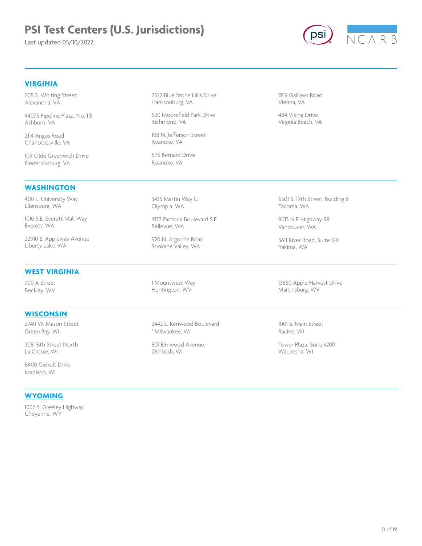Last updated 05/10/2022.



### **VIRGINIA**

205 S. Whiting Street Alexandria, VA

44075 Pipeline Plaza, No. 115 Ashburn, VA

2114 Angus Road Charlottesville, VA

109 Olde Greenwich Drive Fredericksburg, VA

#### **WASHINGTON**

400 E. University Way Ellensburg, WA

1010 S.E. Everett Mall Way Everett, WA

22910 E. Appleway Avenue Liberty Lake, WA

#### **WEST VIRGINIA**

700 A Street Beckley, WV

#### **WISCONSIN**

2740 W. Mason Street Green Bay, WI

308 16th Street North La Crosse, WI

6400 Gisholt Drive Madison, WI

# **WYOMING**

1002 S. Greeley Highway Cheyenne, WY

2322 Blue Stone Hills Drive Harrisonburg, VA

620 Moorefield Park Drive Richmond, VA

108 N. Jefferson Street Roanoke, VA

5115 Bernard Drive Roanoke, VA

3435 Martin Way E. Olympia, WA

4122 Factoria Boulevard S.E Bellevue, WA

920 N. Argonne Road Spokane Valley, WA

1 Mountwest Way Huntington, WV

2442 E. Kenwood Boulevard `Milwaukee, WI

801 Elmwood Avenue Oshkosh, WI

1919 Gallows Road Vienna, VA

484 Viking Drive Virginia Beach, VA

6501 S. 19th Street, Building 6 Tacoma, WA

9013 N.E. Highway 99 Vancouver, WA

3611 River Road, Suite 120 Yakima, WA

13650 Apple Harvest Drive Martinsburg, WV

1001 S. Main Street Racine, WI

Tower Plaza, Suite #200 Waukesha, WI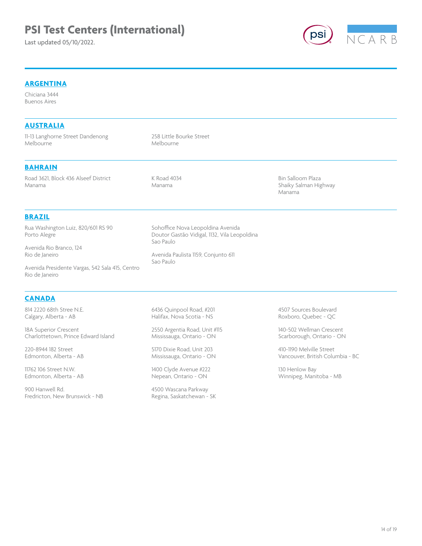# **PSI Test Centers (International)**

Last updated 05/10/2022.



# **ARGENTINA**

Chiciana 3444 Buenos Aires

| 11-13 Langhorne Street Dandenong<br>Melbourne                     | 258 Little Bourke Street<br>Melbourne                                                          |                                 |  |
|-------------------------------------------------------------------|------------------------------------------------------------------------------------------------|---------------------------------|--|
|                                                                   |                                                                                                |                                 |  |
| <b>BAHRAIN</b>                                                    |                                                                                                |                                 |  |
| Road 3621, Block 436 Alseef District                              | K Road 4034                                                                                    | Bin Salloom Plaza               |  |
| Manama                                                            | Manama                                                                                         | Shaiky Salman Highway<br>Manama |  |
| <b>BRAZIL</b>                                                     |                                                                                                |                                 |  |
| Rua Washington Luiz, 820/601 RS 90<br>Porto Alegre                | Sohoffice Nova Leopoldina Avenida<br>Doutor Gastão Vidigal, 1132, Vila Leopoldina<br>Sao Paulo |                                 |  |
| Avenida Rio Branco, 124                                           |                                                                                                |                                 |  |
| Rio de Janeiro                                                    | Avenida Paulista 1159, Conjunto 611<br>Sao Paulo                                               |                                 |  |
| Avenida Presidente Vargas, 542 Sala 415, Centro<br>Rio de Janeiro |                                                                                                |                                 |  |

814 2220 68th Stree N.E. Calgary, Alberta - AB

18A Superior Crescent Charlottetown, Prince Edward Island

220-8944 182 Street Edmonton, Alberta - AB

11762 106 Street N.W. Edmonton, Alberta - AB

900 Hanwell Rd. Fredricton, New Brunswick - NB 6436 Quinpool Road, #201 Halifax, Nova Scotia - NS

2550 Argentia Road, Unit #115 Mississauga, Ontario - ON

5170 Dixie Road, Unit 203 Mississauga, Ontario - ON

1400 Clyde Avenue #222 Nepean, Ontario - ON

4500 Wascana Parkway Regina, Saskatchewan - SK

4507 Sources Boulevard Roxboro, Quebec - QC

140-502 Wellman Crescent Scarborough, Ontario - ON

410-1190 Melville Street Vancouver, British Columbia - BC

130 Henlow Bay Winnipeg, Manitoba - MB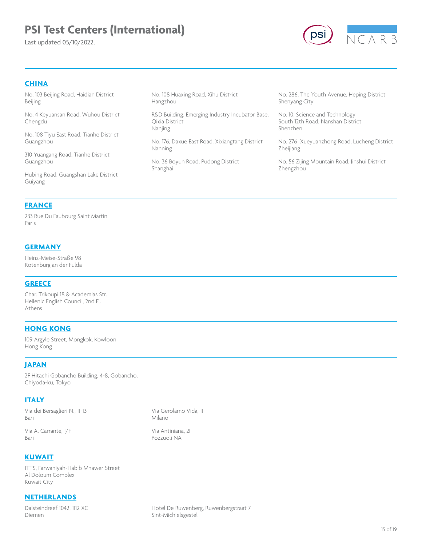# **PSI Test Centers (International)**

Last updated 05/10/2022.



#### **CHINA**

No. 103 Beijing Road, Haidian District Beijing

No. 4 Keyuansan Road, Wuhou District Chengdu

No. 108 Tiyu East Road, Tianhe District Guangzhou

310 Yuangang Road, Tianhe District Guangzhou

Hubing Road, Guangshan Lake District Guiyang

No. 108 Huaxing Road, Xihu District Hangzhou

R&D Building, Emerging Industry Incubator Base, Qixia District Nanjing

No. 176, Daxue East Road, Xixiangtang District Nanning

No. 36 Boyun Road, Pudong District Shanghai

No. 286, The Youth Avenue, Heping District Shenyang City

No. 10, Science and Technology South 12th Road, Nanshan District Shenzhen

No. 276 Xueyuanzhong Road, Lucheng District Zheijiang

No. 56 Zijing Mountain Road, Jinshui District Zhengzhou

### **FRANCE**

233 Rue Du Faubourg Saint Martin Paris

#### **GERMANY**

Heinz-Meise-Straße 98 Rotenburg an der Fulda

#### **GREECE**

Char. Trikoupi 18 & Academias Str. Hellenic English Council, 2nd Fl. Athens

#### **HONG KONG**

109 Argyle Street, Mongkok, Kowloon Hong Kong

#### **JAPAN**

2F Hitachi Gobancho Building, 4-8, Gobancho, Chiyoda-ku, Tokyo

### **ITALY**

Via dei Bersaglieri N., 11-13 Bari

Via Gerolamo Vida, 11 Milano

Via A. Carrante, 1/F Bari

Via Antiniana, 2I

Pozzuoli NA

**KUWAIT**

ITTS, Farwaniyah-Habib Mnawer Street Al Doloum Complex Kuwait City

### **NETHERLANDS**

Dalsteindreef 1042, 1112 XC Diemen

Hotel De Ruwenberg, Ruwenbergstraat 7 Sint-Michielsgestel